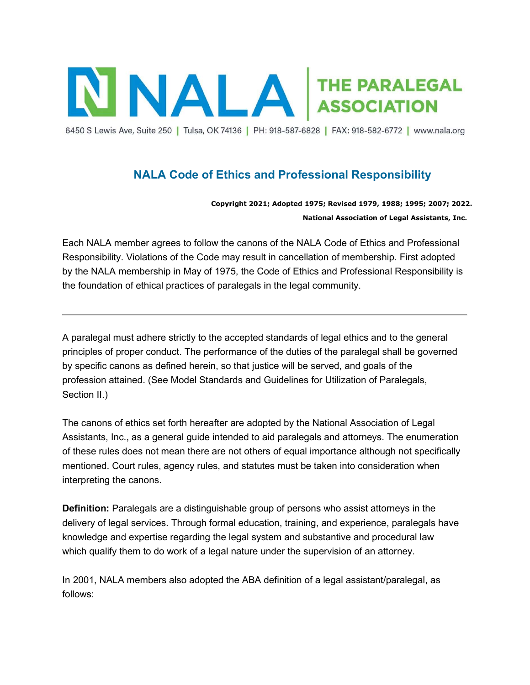

6450 S Lewis Ave, Suite 250 | Tulsa, OK 74136 | PH: 918-587-6828 | FAX: 918-582-6772 | www.nala.org

# NALA Code of Ethics and Professional Responsibility

Copyright 2021; Adopted 1975; Revised 1979, 1988; 1995; 2007; 2022. National Association of Legal Assistants, Inc.

Each NALA member agrees to follow the canons of the NALA Code of Ethics and Professional Responsibility. Violations of the Code may result in cancellation of membership. First adopted by the NALA membership in May of 1975, the Code of Ethics and Professional Responsibility is the foundation of ethical practices of paralegals in the legal community.

A paralegal must adhere strictly to the accepted standards of legal ethics and to the general principles of proper conduct. The performance of the duties of the paralegal shall be governed by specific canons as defined herein, so that justice will be served, and goals of the profession attained. (See Model Standards and Guidelines for Utilization of Paralegals, Section II.)

The canons of ethics set forth hereafter are adopted by the National Association of Legal Assistants, Inc., as a general guide intended to aid paralegals and attorneys. The enumeration of these rules does not mean there are not others of equal importance although not specifically mentioned. Court rules, agency rules, and statutes must be taken into consideration when interpreting the canons.

Definition: Paralegals are a distinguishable group of persons who assist attorneys in the delivery of legal services. Through formal education, training, and experience, paralegals have knowledge and expertise regarding the legal system and substantive and procedural law which qualify them to do work of a legal nature under the supervision of an attorney.

In 2001, NALA members also adopted the ABA definition of a legal assistant/paralegal, as follows: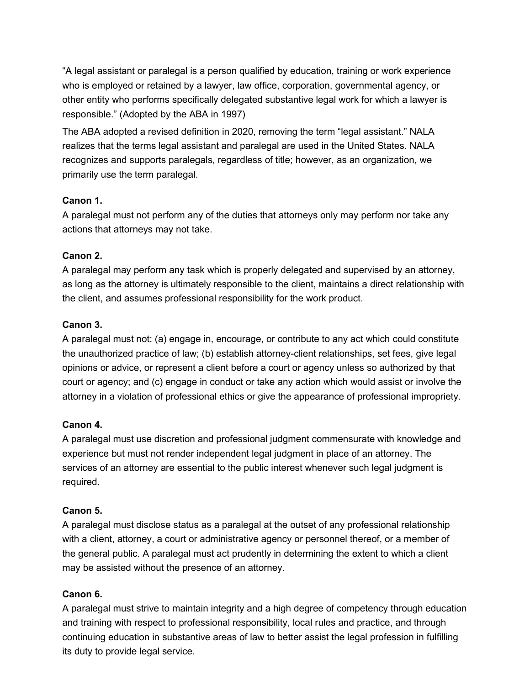"A legal assistant or paralegal is a person qualified by education, training or work experience who is employed or retained by a lawyer, law office, corporation, governmental agency, or other entity who performs specifically delegated substantive legal work for which a lawyer is responsible." (Adopted by the ABA in 1997)

The ABA adopted a revised definition in 2020, removing the term "legal assistant." NALA realizes that the terms legal assistant and paralegal are used in the United States. NALA recognizes and supports paralegals, regardless of title; however, as an organization, we primarily use the term paralegal.

## Canon 1.

A paralegal must not perform any of the duties that attorneys only may perform nor take any actions that attorneys may not take.

## Canon 2.

A paralegal may perform any task which is properly delegated and supervised by an attorney, as long as the attorney is ultimately responsible to the client, maintains a direct relationship with the client, and assumes professional responsibility for the work product.

## Canon 3.

A paralegal must not: (a) engage in, encourage, or contribute to any act which could constitute the unauthorized practice of law; (b) establish attorney-client relationships, set fees, give legal opinions or advice, or represent a client before a court or agency unless so authorized by that court or agency; and (c) engage in conduct or take any action which would assist or involve the attorney in a violation of professional ethics or give the appearance of professional impropriety.

#### Canon 4.

A paralegal must use discretion and professional judgment commensurate with knowledge and experience but must not render independent legal judgment in place of an attorney. The services of an attorney are essential to the public interest whenever such legal judgment is required.

#### Canon 5.

A paralegal must disclose status as a paralegal at the outset of any professional relationship with a client, attorney, a court or administrative agency or personnel thereof, or a member of the general public. A paralegal must act prudently in determining the extent to which a client may be assisted without the presence of an attorney.

#### Canon 6.

A paralegal must strive to maintain integrity and a high degree of competency through education and training with respect to professional responsibility, local rules and practice, and through continuing education in substantive areas of law to better assist the legal profession in fulfilling its duty to provide legal service.